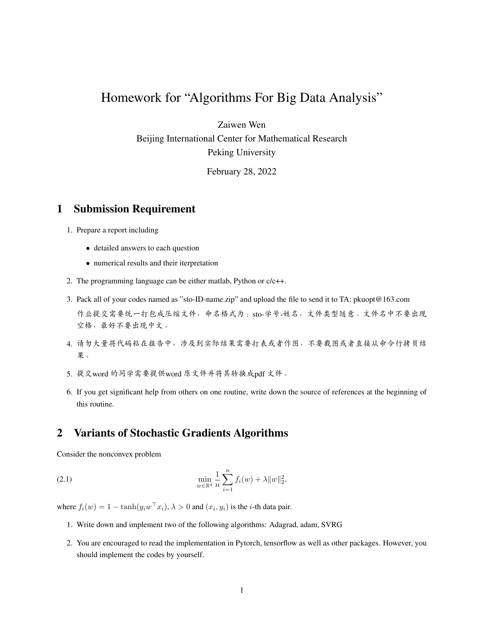## Homework for "Algorithms For Big Data Analysis"

Zaiwen Wen

Beijing International Center for Mathematical Research Peking University

February 28, 2022

## 1 Submission Requirement

- 1. Prepare a report including
	- detailed answers to each question
	- numerical results and their iterpretation
- 2. The programming language can be either matlab, Python or c/c++.
- 3. Pack all of your codes named as "sto-ID-name.zip" and upload the file to send it to TA: pkuopt@163.com 作业提交需要统一打包成压缩文件,命名格式为: sto-学号-姓名,文件类型随意。文件名中不要出现 空格,最好不要出现中文。
- 4. <sup>请</sup>勿大量将代码粘在报告中,涉及到实际结果需要打表或者作图,不要截图或者直接从命令行拷贝<sup>结</sup> 果。
- 5. <sup>提</sup>交word <sup>的</sup>同学需要提供word <sup>原</sup>文件并将其转换成pdf <sup>文</sup>件。
- 6. If you get significant help from others on one routine, write down the source of references at the beginning of this routine.

## 2 Variants of Stochastic Gradients Algorithms

Consider the nonconvex problem

(2.1) 
$$
\min_{w \in \mathbb{R}^d} \frac{1}{n} \sum_{i=1}^n f_i(w) + \lambda \|w\|_2^2,
$$

where  $f_i(w) = 1 - \tanh(y_i w^\top x_i)$ ,  $\lambda > 0$  and  $(x_i, y_i)$  is the *i*-th data pair.

- 1. Write down and implement two of the following algorithms: Adagrad, adam, SVRG
- 2. You are encouraged to read the implementation in Pytorch, tensorflow as well as other packages. However, you should implement the codes by yourself.